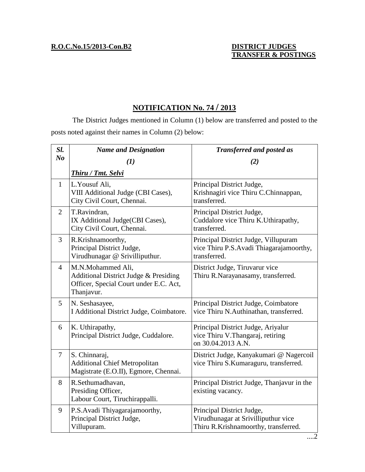## **NOTIFICATION No. 74 / 2013**

The District Judges mentioned in Column (1) below are transferred and posted to the posts noted against their names in Column (2) below:

| Sl.            | <b>Name and Designation</b>                                                                                        | <b>Transferred and posted as</b>                                                                         |
|----------------|--------------------------------------------------------------------------------------------------------------------|----------------------------------------------------------------------------------------------------------|
| N <sub>o</sub> | (1)                                                                                                                | (2)                                                                                                      |
|                | <b>Thiru / Tmt. Selvi</b>                                                                                          |                                                                                                          |
| $\mathbf{1}$   | L. Yousuf Ali,<br>VIII Additional Judge (CBI Cases),<br>City Civil Court, Chennai.                                 | Principal District Judge,<br>Krishnagiri vice Thiru C.Chinnappan,<br>transferred.                        |
| $\overline{2}$ | T.Ravindran,<br>IX Additional Judge(CBI Cases),<br>City Civil Court, Chennai.                                      | Principal District Judge,<br>Cuddalore vice Thiru K.Uthirapathy,<br>transferred.                         |
| 3              | R.Krishnamoorthy,<br>Principal District Judge,<br>Virudhunagar @ Srivilliputhur.                                   | Principal District Judge, Villupuram<br>vice Thiru P.S. Avadi Thiagarajamoorthy,<br>transferred.         |
| $\overline{4}$ | M.N.Mohammed Ali,<br>Additional District Judge & Presiding<br>Officer, Special Court under E.C. Act,<br>Thanjavur. | District Judge, Tiruvarur vice<br>Thiru R.Narayanasamy, transferred.                                     |
| 5              | N. Seshasayee,<br>I Additional District Judge, Coimbatore.                                                         | Principal District Judge, Coimbatore<br>vice Thiru N.Authinathan, transferred.                           |
| 6              | K. Uthirapathy,<br>Principal District Judge, Cuddalore.                                                            | Principal District Judge, Ariyalur<br>vice Thiru V.Thangaraj, retiring<br>on 30.04.2013 A.N.             |
| $\tau$         | S. Chinnaraj,<br><b>Additional Chief Metropolitan</b><br>Magistrate (E.O.II), Egmore, Chennai.                     | District Judge, Kanyakumari @ Nagercoil<br>vice Thiru S.Kumaraguru, transferred.                         |
| 8              | R.Sethumadhavan,<br>Presiding Officer,<br>Labour Court, Tiruchirappalli.                                           | Principal District Judge, Thanjavur in the<br>existing vacancy.                                          |
| 9              | P.S. Avadi Thiyagarajamoorthy,<br>Principal District Judge,<br>Villupuram.                                         | Principal District Judge,<br>Virudhunagar at Srivilliputhur vice<br>Thiru R.Krishnamoorthy, transferred. |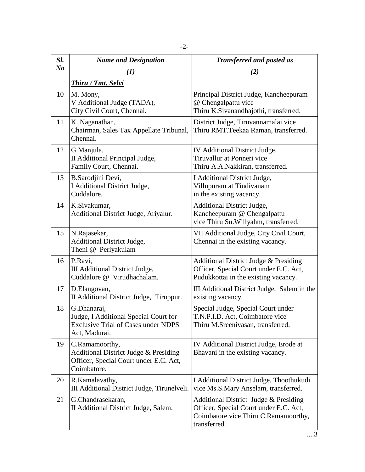| Sl.            | <b>Name and Designation</b>                                                                                         | <b>Transferred and posted as</b>                                                                                                        |
|----------------|---------------------------------------------------------------------------------------------------------------------|-----------------------------------------------------------------------------------------------------------------------------------------|
| N <sub>o</sub> | $\bf(1)$                                                                                                            | (2)                                                                                                                                     |
|                | <b>Thiru / Tmt. Selvi</b>                                                                                           |                                                                                                                                         |
| 10             | M. Mony,<br>V Additional Judge (TADA),<br>City Civil Court, Chennai.                                                | Principal District Judge, Kancheepuram<br>@ Chengalpattu vice<br>Thiru K.Sivanandhajothi, transferred.                                  |
| 11             | K. Naganathan,<br>Chairman, Sales Tax Appellate Tribunal,<br>Chennai.                                               | District Judge, Tiruvannamalai vice<br>Thiru RMT.Teekaa Raman, transferred.                                                             |
| 12             | G.Manjula,<br>II Additional Principal Judge,<br>Family Court, Chennai.                                              | IV Additional District Judge,<br>Tiruvallur at Ponneri vice<br>Thiru A.A.Nakkiran, transferred.                                         |
| 13             | B.Sarodjini Devi,<br>I Additional District Judge,<br>Cuddalore.                                                     | I Additional District Judge,<br>Villupuram at Tindivanam<br>in the existing vacancy.                                                    |
| 14             | K.Sivakumar,<br>Additional District Judge, Ariyalur.                                                                | <b>Additional District Judge,</b><br>Kancheepuram @ Chengalpattu<br>vice Thiru Su. Willyahm, transferred.                               |
| 15             | N.Rajasekar,<br><b>Additional District Judge,</b><br>Theni @ Periyakulam                                            | VII Additional Judge, City Civil Court,<br>Chennai in the existing vacancy.                                                             |
| 16             | P.Ravi,<br>III Additional District Judge,<br>Cuddalore @ Virudhachalam.                                             | Additional District Judge & Presiding<br>Officer, Special Court under E.C. Act,<br>Pudukkottai in the existing vacancy.                 |
| 17             | D.Elangovan,<br>II Additional District Judge, Tiruppur.                                                             | III Additional District Judge, Salem in the<br>existing vacancy.                                                                        |
| 18             | G.Dhanaraj,<br>Judge, I Additional Special Court for<br><b>Exclusive Trial of Cases under NDPS</b><br>Act, Madurai. | Special Judge, Special Court under<br>T.N.P.I.D. Act, Coimbatore vice<br>Thiru M.Sreenivasan, transferred.                              |
| 19             | C.Ramamoorthy,<br>Additional District Judge & Presiding<br>Officer, Special Court under E.C. Act,<br>Coimbatore.    | IV Additional District Judge, Erode at<br>Bhavani in the existing vacancy.                                                              |
| 20             | R.Kamalavathy,<br>III Additional District Judge, Tirunelveli.                                                       | I Additional District Judge, Thoothukudi<br>vice Ms.S.Mary Anselam, transferred.                                                        |
| 21             | G.Chandrasekaran,<br>II Additional District Judge, Salem.                                                           | Additional District Judge & Presiding<br>Officer, Special Court under E.C. Act,<br>Coimbatore vice Thiru C.Ramamoorthy,<br>transferred. |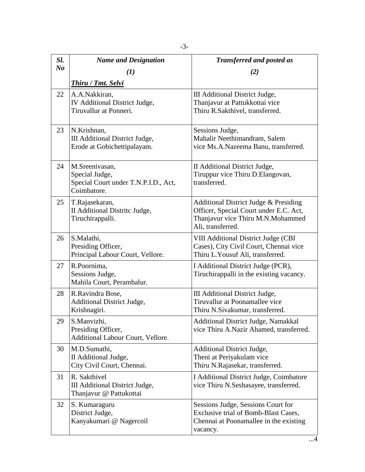| Sl.            | <b>Name and Designation</b>                                                             | <b>Transferred and posted as</b>                                                                                                          |
|----------------|-----------------------------------------------------------------------------------------|-------------------------------------------------------------------------------------------------------------------------------------------|
| N <sub>o</sub> | $\bf(1)$                                                                                | (2)                                                                                                                                       |
|                | <b>Thiru / Tmt. Selvi</b>                                                               |                                                                                                                                           |
| 22             | A.A.Nakkiran,<br>IV Additional District Judge,<br>Tiruvallur at Ponneri.                | III Additional District Judge,<br>Thanjavur at Pattukkottai vice<br>Thiru R.Sakthivel, transferred.                                       |
| 23             | N.Krishnan,<br>III Additional District Judge,<br>Erode at Gobichettipalayam.            | Sessions Judge,<br>Mahalir Neethimandram, Salem<br>vice Ms.A.Nazeema Banu, transferred.                                                   |
| 24             | M.Sreenivasan,<br>Special Judge,<br>Special Court under T.N.P.I.D., Act,<br>Coimbatore. | <b>II</b> Additional District Judge,<br>Tiruppur vice Thiru D.Elangovan,<br>transferred.                                                  |
| 25             | T.Rajasekaran,<br>II Additional Distrite Judge,<br>Tiruchirappalli.                     | Additional District Judge & Presiding<br>Officer, Special Court under E.C. Act,<br>Thanjavur vice Thiru M.N.Mohammed<br>Ali, transferred. |
| 26             | S.Malathi,<br>Presiding Officer,<br>Principal Labour Court, Vellore.                    | VIII Additional District Judge (CBI<br>Cases), City Civil Court, Chennai vice<br>Thiru L. Yousuf Ali, transferred.                        |
| 27             | R.Poornima,<br>Sessions Judge,<br>Mahila Court, Perambalur.                             | I Additional District Judge (PCR),<br>Tiruchirappalli in the existing vacancy.                                                            |
| 28             | R.Ravindra Bose,<br><b>Additional District Judge,</b><br>Krishnagiri.                   | III Additional District Judge,<br>Tiruvallur at Poonamallee vice<br>Thiru N.Sivakumar, transferred.                                       |
| 29             | S.Manvizhi,<br>Presiding Officer,<br>Additional Labour Court, Vellore.                  | Additional District Judge, Namakkal<br>vice Thiru A.Nazir Ahamed, transferred.                                                            |
| 30             | M.D.Sumathi,<br>II Additional Judge,<br>City Civil Court, Chennai.                      | <b>Additional District Judge,</b><br>Theni at Periyakulam vice<br>Thiru N.Rajasekar, transferred.                                         |
| 31             | R. Sakthivel<br>III Additional District Judge,<br>Thanjavur @ Pattukottai               | I Additional District Judge, Coimbatore<br>vice Thiru N.Seshasayee, transferred.                                                          |
| 32             | S. Kumaraguru<br>District Judge,<br>Kanyakumari @ Nagercoil                             | Sessions Judge, Sessions Court for<br>Exclusive trial of Bomb-Blast Cases,<br>Chennai at Poonamallee in the existing<br>vacancy.          |